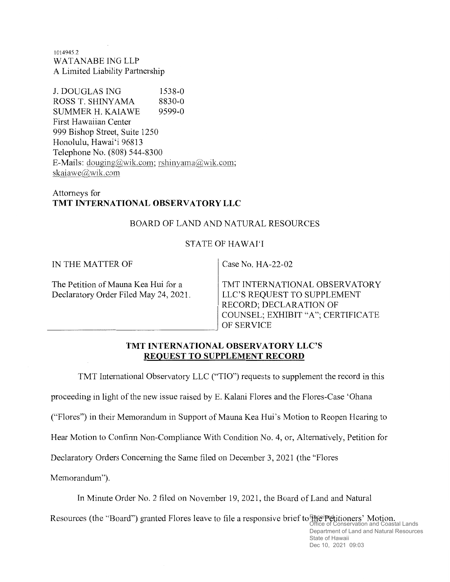t014945.2 WATANABE ING LLP A Limited Liability Partnership

J. DOUGLAS ING 1538-0<br>ROSS T. SHINYAMA 8830-0 ROSS T. SHINYAMA 8830-0<br>SUMMER H. KAIAWE 9599-0 SUMMER H. KAIAWE First Hawaiian Center 999 Bishop Street, Suite 1250 Honolulu, Hawai'i 96813 Telephone No. (808) 544-8300 E-Mails: doueing@wik.com; rshinyama@wik.com; skaiawe@wik.com

# Attomeys for TMT INTERNATIONAL OBSERVATORY LLC

# BOARD OF LAND AND NATURAL RESOURCES

# STATE OF HAWAI'I

IN THE MATTER OF

Case No. HA-22-02

The Petition of Mauna Kea Hui for a Declaratory Order Filed May 24, 2021. TMT INTERNATIONAL OBSERVATORY LLC'S REQUEST TO SUPPLEMENT RECORD; DECLARATION OF COUNSEL; EXHIBIT "A"; CERTIFICATE OF SERVICE

## TMT INTERNATIONAL OBSERVATORY LLC'S REQUEST TO SUPPLEMENT RECORD

TMT International Observatory LLC ("TIO") requests to supplement the record in this

proceeding in light of the new issue raised by E. Kalani Flores and the Flores-Case 'Ohana

("Flores") in their Memorandum in Support of Mauna Kea Hui's Motion to Reopen Hearing to

Hear Motion to Confirm Non-Compliance With Condition No. 4, or, Altematively, Petition for

Declaratory Orders Conceming the Same filed on December 3,2021(the "Flores

Memorandum").

In Minute Order No. 2 filed on November 79,2027, the Board of Land and Natural

Resources (the "Board") granted Flores leave to file a responsive brief to the Pretitioners' Motion.<br>Office of Conservation and Coastal Lands

Department of Land and Natural Resources State of Hawaii Dec 10, 2021 09:03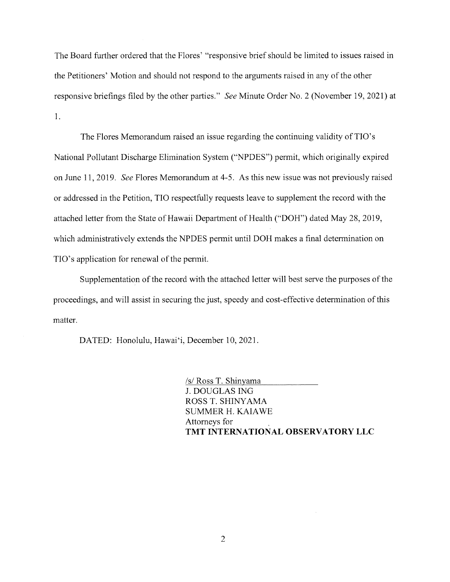The Board further ordered that the Flores' "responsive brief should be limited to issues raised in the Petitioners' Motion and should not respond to the arguments raised in any of the other responsive briefings filed by the other parties." See Minute Order No. 2 (November 19,202I) at 1.

The Flores Memorandum raised an issue regarding the continuing validity of TIO's National Pollutant Discharge Elimination System ("NPDES") permit, which originally expired on June 11, 2019. See Flores Memorandum at 4-5. As this new issue was not previously raised or addressed in the Petition, TIO respectfully requests leave to supplement the record with the attached letter from the State of Hawaii Department of Health ("DOH") dated May 28,2019, which administratively extends the NPDES permit until DOH makes a final determination on TIO's application for renewal of the permit.

Supplementation of the record with the attached letter will best serve the purposes of the proceedings, and will assist in securing the just, speedy and cost-effective determination of this matter.

DATED: Honolulu, Hawai'i, December 10, 2021.

/s/ Ross T. Shinvama J. DOUGLAS ING ROSS T. SHINYAMA SUMMER H. KAIAWE Attorneys for TMT INTERNATIONAL OBSERVATORY LLC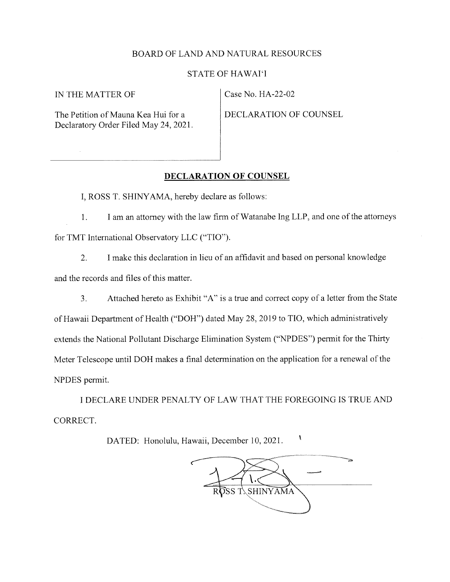#### BOARD OF LAND AND NATURAL RESOURCES

#### STATE OF HAWAI'I

IN THE MATTER OF Case No. HA-22-02

The Petition of Mauna Kea Hui for a Declaratory Order Filed May 24, 2021.

DECLARATION OF COUNSEL

#### DECLARATION OF COUNSEL

I, ROSS T. SHINYAMA, hereby declare as follows:

l. I am an attorney with the law firm of Watanabe Ing LLP, and one of the attomeys for TMT International Observatory LLC ("TIO").

2. <sup>I</sup>make this declaration in lieu of an affidavit and based on personal knowledge and the records and files of this matter.

3. Attached hereto as Exhibit "A" is a true and correct copy of a letter from the State of Hawaii Department of Health ("DOH") dated May 28,2019 to TIO, which administratively extends the National Pollutant Discharge Elimination System ("NPDES") permit for the Thirty Meter Telescope until DOH makes a final determination on the application for a renewal of the NPDES permit.

I DECLARE UNDER PENALTY OF LAW THAT THE FOREGOING IS TRUE AND CORRECT.

DATED: Honolulu, Hawaii, December 10, 2021.

 $\bar{I}$ TSS T. SHINYAMA

 $\pmb{\mathsf{S}}$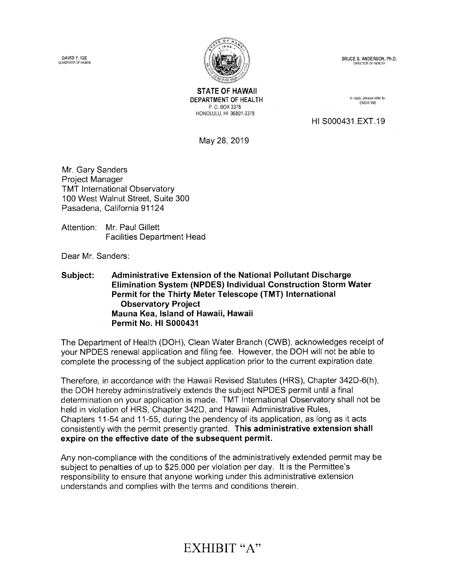DAVID Y. IGE GOVERNOR OF IIAWAII



BRUCE S. ANDERSON, Ph.D. DIRECTOR OF HEALTH

STATE OF HAWAII DEPARTMENT OF HEALTH P. 0. Box 3378 HoNoLULU, Hr 96801-3378

In reply, please refer to: EMD/CW8

Ht s000431.EXT.19

May 28,2019

Mr. Gary Sanders Project Manager TMT lnternational Observatory 100 West Walnut Street, Suite 300 Pasadena, California 91 124

Attention: Mr. Paul Gillett Facilities Department Head

Dear Mr. Sanders

Subject: Administrative Extension of the National Pollutant Discharge Elimination System (NPDES) lndividual Gonstruction Storm Water Permit for the Thirty Meter Telescope (TMT) lnternational Observatory Project Mauna Kea, lsland of Hawaii, Hawaii Permit No. Hl 5000431

The Department of Health (DOH), Clean Water Branch (CWB), acknowledges receipt of your NPDES renewal application and filing fee. However, the DOH will not be able to complete the processing of the subject application prior to the current expiration date.

Therefore, in accordance with the Hawaii Revised Statutes (HRS), Chapter 342D-6(h), the DOH hereby administratively extends the subject NPDES permit until a final determination on your application is made. TMT lnternational Observatory shall not be held in violation of HRS, Chapter 342D, and Hawaii Administrative Rules, Chapters 11-54 and 11-55, during the pendency of its application, as long as it acts consistently with the permit presently granted. This administrative extension shall expire on the effective date of the subsequent permit.

Any non-compliance with the conditions of the administratively extended permit may be subject to penalties of up to \$25,000 per violation per day. lt is the Permittee's responsibility to ensure that anyone working under this administrative extension understands and complies with the terms and conditions therein.

# EXHIBIT "A"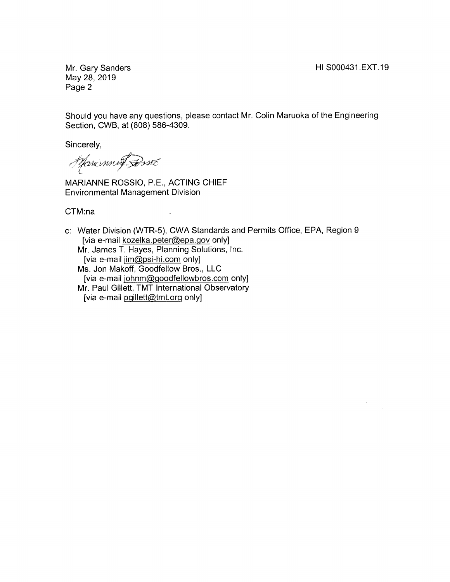Mr. Gary Sanders May 28,2019 Page 2

Should you have any questions, please contact Mr. Colin Maruoka of the Engineering Section, CWB, at (808) 586-4309.

Sincerely,

Spranne Brito

MARIANNE ROSSIO, P.E., ACTING CHIEF Environmental Management Division

CTM:na

c: Water Division (WTR-S), CWA Standards and Permits Office, EPA, Region <sup>9</sup> [via e-mail kozelka.peter@epa.qov only] Mr. James T. Hayes, Planning Solutions, lnc. [via e-mail iim@psi-hi.com only] Ms. Jon Makoff, Goodfellow Bros., LLC [via e-mail johnm@goodfellowbros.com only] Mr. Paul Gillett, TMT lnternational Observatory [via e-mail pgillett@tmt.org only]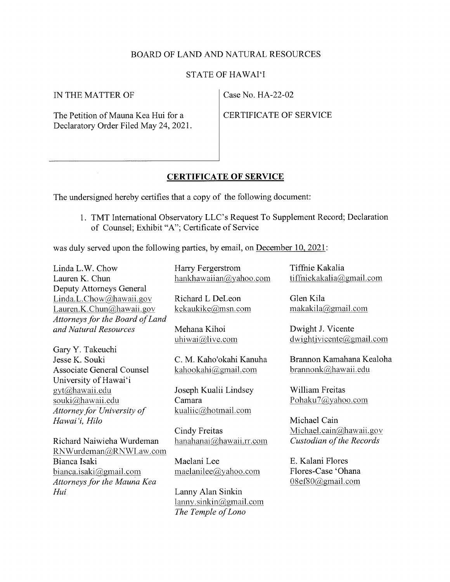## BOARD OF LAND AND NATURAL RESOURCES

#### STATE OF HAWAI'I

IN THE MATTER OF Case No. HA-22-02

The Petition of Mauna Kea Hui for a Declaratory Order Filed May 24, 2021.

CERTIFICATE OF SERVICE

## CERTIFICATE OF SERVICE

The undersigned hereby certifies that a copy of the following document:

1. TMT International Observatory LLC's Request To Supplement Record; Declaration of Counsel; Exhibit "A"; Certificate of Service

was duly served upon the following parties, by email, on December 10, 2021:

Linda L.W. Chow Lauren K. Chun Deputy Attorneys General  $Linda.L. Chow@hawaii.gov$ Lauren.K. Chun@hawaii. gov Attorneys for the Board of Land and Natural Resources Gary Y.Takeuchi Jesse K. Souki Associate General Counsel University of Hawai'i gyt@hawaii.edu souki@hawaii.edu Attorney for' University of Hawai'i, Hilo Richard Naiwieha Wurdeman RNWurdeman@RNWLaw. com Bianca Isaki bianca. isaki@gmail.com Attorneys for the Mauna Kea Hui Harry Fergerstrom hankhawaiian@yahoo. com Richard L Deleon kekaukike@msn.com Mehana Kihoi uhiwai@live.com C. M. Kaho'okahi Kanuha kahookahi@gmail.com Joseph Kualii Lindsey Camara kualiic@hotmail.com Cindy Freitas hanahanai@hawaii.rr. com Maelani Lee maelanilee@yahoo.com Lanny Alan Sinkin lanny. sinkin@gmail.com The Temple of Lono Tiffnie Kakalia ti ffniekakalia@gmail.com Glen Kila makakila@gmail.com Dwight J. Vicente dwightjvicente@gmail.com Brannon Kamahana Kealoha brannonk@hawaii.edu William Freitas PohakuT@yahoo.com Michael Cain Michael. cain@hawaii. gov Custodian of the Records E. Kalani Flores Flores-Case 'Ohana 08ef80@gmail.com